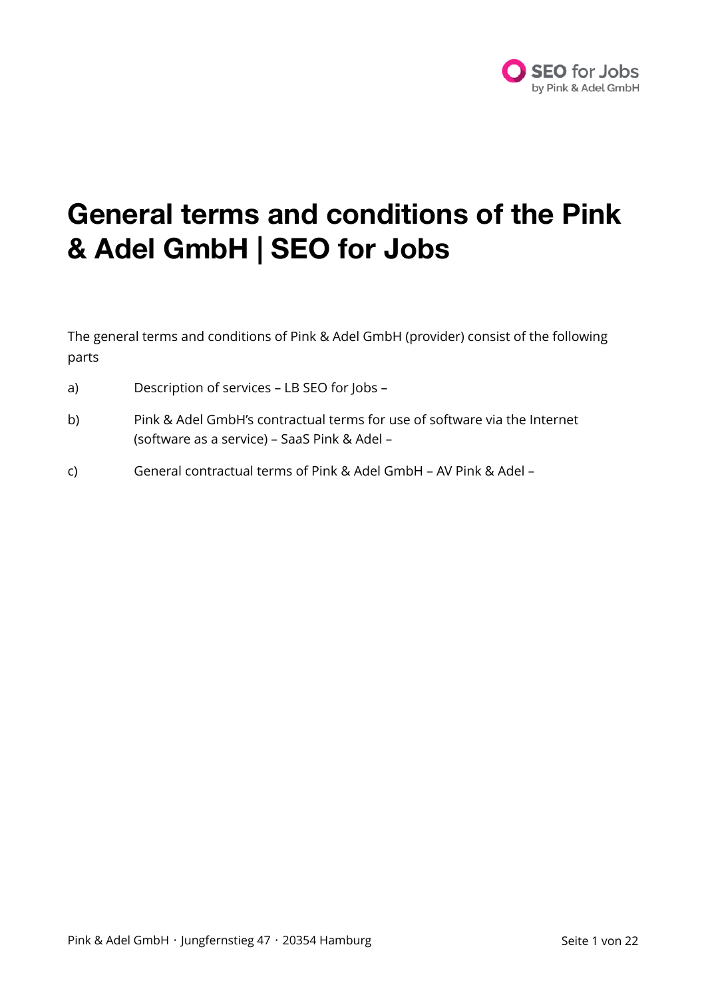

## **General terms and conditions of the Pink & Adel GmbH | SEO for Jobs**

The general terms and conditions of Pink & Adel GmbH (provider) consist of the following parts

- a) Description of services LB SEO for Jobs –
- b) Pink & Adel GmbH's contractual terms for use of software via the Internet (software as a service) – SaaS Pink & Adel –
- c) General contractual terms of Pink & Adel GmbH AV Pink & Adel –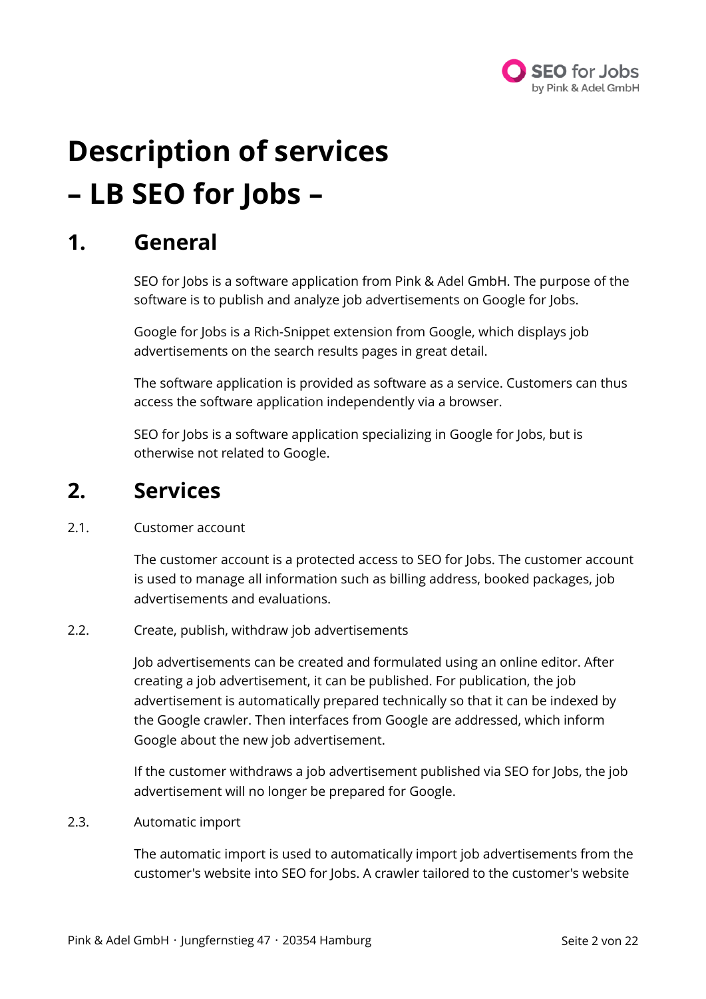

# **Description of services – LB SEO for Jobs –**

### **1. General**

SEO for Jobs is a software application from Pink & Adel GmbH. The purpose of the software is to publish and analyze job advertisements on Google for Jobs.

Google for Jobs is a Rich-Snippet extension from Google, which displays job advertisements on the search results pages in great detail.

The software application is provided as software as a service. Customers can thus access the software application independently via a browser.

SEO for Jobs is a software application specializing in Google for Jobs, but is otherwise not related to Google.

### **2. Services**

#### 2.1. Customer account

The customer account is a protected access to SEO for Jobs. The customer account is used to manage all information such as billing address, booked packages, job advertisements and evaluations.

#### 2.2. Create, publish, withdraw job advertisements

Job advertisements can be created and formulated using an online editor. After creating a job advertisement, it can be published. For publication, the job advertisement is automatically prepared technically so that it can be indexed by the Google crawler. Then interfaces from Google are addressed, which inform Google about the new job advertisement.

If the customer withdraws a job advertisement published via SEO for Jobs, the job advertisement will no longer be prepared for Google.

2.3. Automatic import

The automatic import is used to automatically import job advertisements from the customer's website into SEO for Jobs. A crawler tailored to the customer's website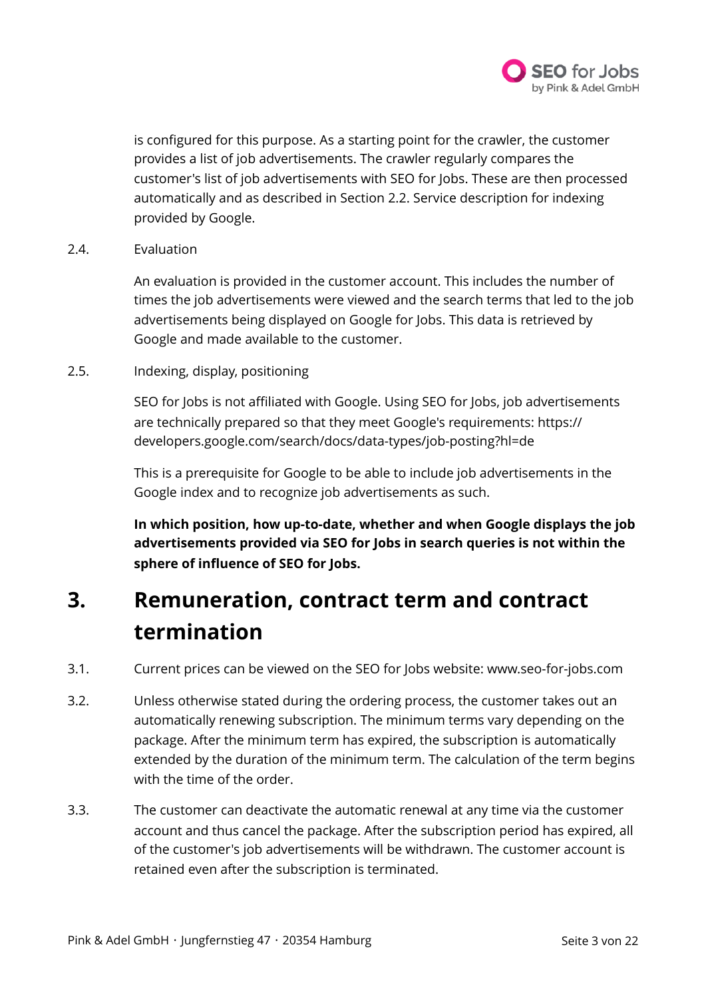

is configured for this purpose. As a starting point for the crawler, the customer provides a list of job advertisements. The crawler regularly compares the customer's list of job advertisements with SEO for Jobs. These are then processed automatically and as described in Section 2.2. Service description for indexing provided by Google.

2.4. Evaluation

An evaluation is provided in the customer account. This includes the number of times the job advertisements were viewed and the search terms that led to the job advertisements being displayed on Google for Jobs. This data is retrieved by Google and made available to the customer.

2.5. Indexing, display, positioning

SEO for Jobs is not affiliated with Google. Using SEO for Jobs, job advertisements are technically prepared so that they meet Google's requirements: https:// developers.google.com/search/docs/data-types/job-posting?hl=de

This is a prerequisite for Google to be able to include job advertisements in the Google index and to recognize job advertisements as such.

**In which position, how up-to-date, whether and when Google displays the job advertisements provided via SEO for Jobs in search queries is not within the sphere of influence of SEO for Jobs.** 

### **3. Remuneration, contract term and contract termination**

- 3.1. Current prices can be viewed on the SEO for Jobs website: www.seo-for-jobs.com
- 3.2. Unless otherwise stated during the ordering process, the customer takes out an automatically renewing subscription. The minimum terms vary depending on the package. After the minimum term has expired, the subscription is automatically extended by the duration of the minimum term. The calculation of the term begins with the time of the order.
- 3.3. The customer can deactivate the automatic renewal at any time via the customer account and thus cancel the package. After the subscription period has expired, all of the customer's job advertisements will be withdrawn. The customer account is retained even after the subscription is terminated.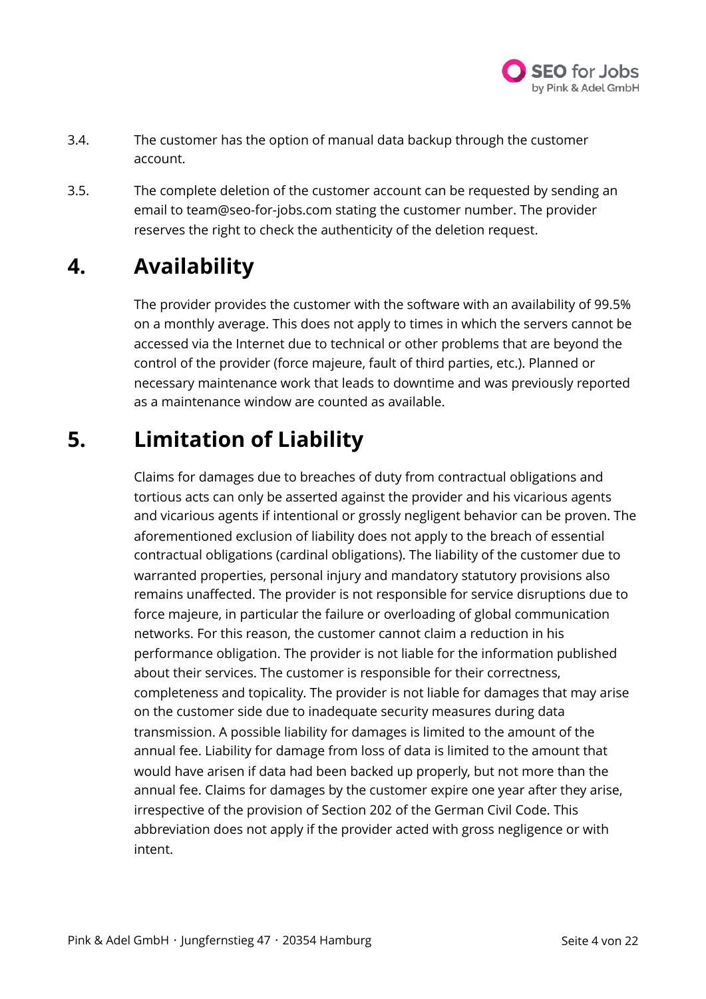

- 3.4. The customer has the option of manual data backup through the customer account.
- 3.5. The complete deletion of the customer account can be requested by sending an email to team@seo-for-jobs.com stating the customer number. The provider reserves the right to check the authenticity of the deletion request.

### **4. Availability**

The provider provides the customer with the software with an availability of 99.5% on a monthly average. This does not apply to times in which the servers cannot be accessed via the Internet due to technical or other problems that are beyond the control of the provider (force majeure, fault of third parties, etc.). Planned or necessary maintenance work that leads to downtime and was previously reported as a maintenance window are counted as available.

### **5. Limitation of Liability**

Claims for damages due to breaches of duty from contractual obligations and tortious acts can only be asserted against the provider and his vicarious agents and vicarious agents if intentional or grossly negligent behavior can be proven. The aforementioned exclusion of liability does not apply to the breach of essential contractual obligations (cardinal obligations). The liability of the customer due to warranted properties, personal injury and mandatory statutory provisions also remains unaffected. The provider is not responsible for service disruptions due to force majeure, in particular the failure or overloading of global communication networks. For this reason, the customer cannot claim a reduction in his performance obligation. The provider is not liable for the information published about their services. The customer is responsible for their correctness, completeness and topicality. The provider is not liable for damages that may arise on the customer side due to inadequate security measures during data transmission. A possible liability for damages is limited to the amount of the annual fee. Liability for damage from loss of data is limited to the amount that would have arisen if data had been backed up properly, but not more than the annual fee. Claims for damages by the customer expire one year after they arise, irrespective of the provision of Section 202 of the German Civil Code. This abbreviation does not apply if the provider acted with gross negligence or with intent.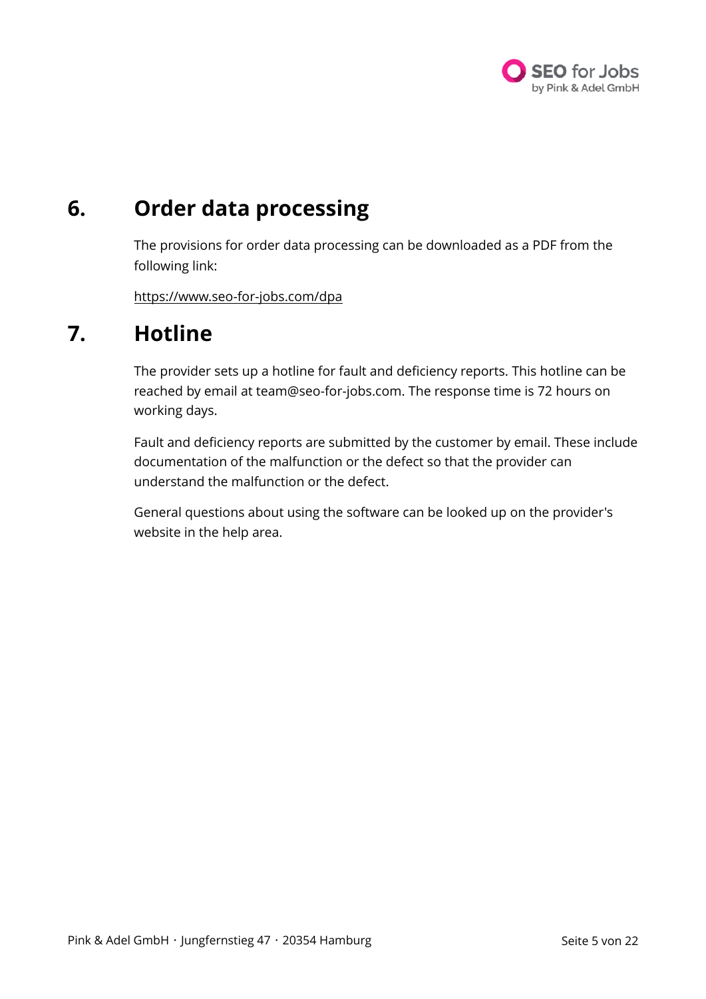

### **6. Order data processing**

The provisions for order data processing can be downloaded as a PDF from the following link:

<https://www.seo-for-jobs.com/dpa>

### **7. Hotline**

The provider sets up a hotline for fault and deficiency reports. This hotline can be reached by email at team@seo-for-jobs.com. The response time is 72 hours on working days.

Fault and deficiency reports are submitted by the customer by email. These include documentation of the malfunction or the defect so that the provider can understand the malfunction or the defect.

General questions about using the software can be looked up on the provider's website in the help area.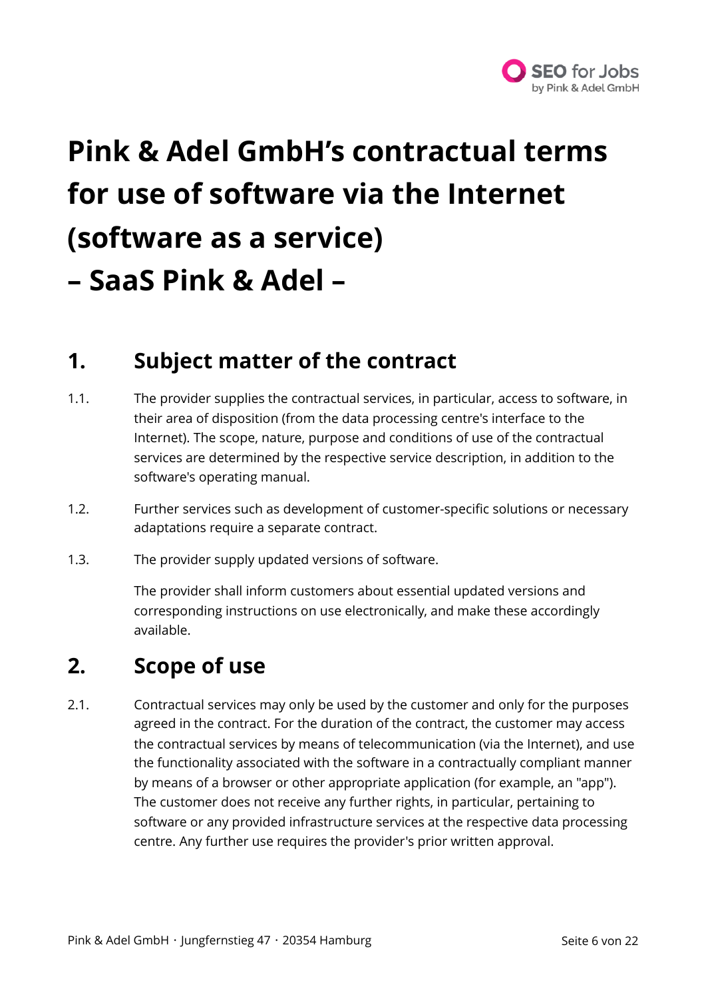

# **Pink & Adel GmbH's contractual terms for use of software via the Internet (software as a service) – SaaS Pink & Adel –**

### **1. Subject matter of the contract**

- 1.1. The provider supplies the contractual services, in particular, access to software, in their area of disposition (from the data processing centre's interface to the Internet). The scope, nature, purpose and conditions of use of the contractual services are determined by the respective service description, in addition to the software's operating manual.
- 1.2. Further services such as development of customer-specific solutions or necessary adaptations require a separate contract.
- 1.3. The provider supply updated versions of software.

The provider shall inform customers about essential updated versions and corresponding instructions on use electronically, and make these accordingly available.

### **2. Scope of use**

2.1. Contractual services may only be used by the customer and only for the purposes agreed in the contract. For the duration of the contract, the customer may access the contractual services by means of telecommunication (via the Internet), and use the functionality associated with the software in a contractually compliant manner by means of a browser or other appropriate application (for example, an "app"). The customer does not receive any further rights, in particular, pertaining to software or any provided infrastructure services at the respective data processing centre. Any further use requires the provider's prior written approval.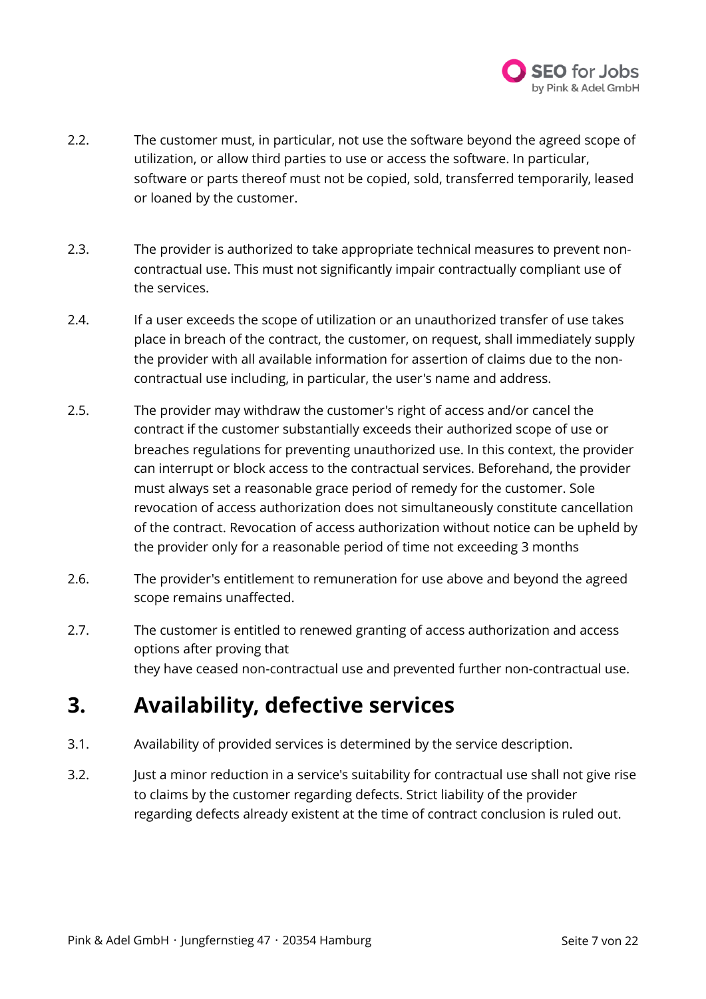

- 2.2. The customer must, in particular, not use the software beyond the agreed scope of utilization, or allow third parties to use or access the software. In particular, software or parts thereof must not be copied, sold, transferred temporarily, leased or loaned by the customer.
- 2.3. The provider is authorized to take appropriate technical measures to prevent noncontractual use. This must not significantly impair contractually compliant use of the services.
- 2.4. If a user exceeds the scope of utilization or an unauthorized transfer of use takes place in breach of the contract, the customer, on request, shall immediately supply the provider with all available information for assertion of claims due to the noncontractual use including, in particular, the user's name and address.
- 2.5. The provider may withdraw the customer's right of access and/or cancel the contract if the customer substantially exceeds their authorized scope of use or breaches regulations for preventing unauthorized use. In this context, the provider can interrupt or block access to the contractual services. Beforehand, the provider must always set a reasonable grace period of remedy for the customer. Sole revocation of access authorization does not simultaneously constitute cancellation of the contract. Revocation of access authorization without notice can be upheld by the provider only for a reasonable period of time not exceeding 3 months
- 2.6. The provider's entitlement to remuneration for use above and beyond the agreed scope remains unaffected.
- 2.7. The customer is entitled to renewed granting of access authorization and access options after proving that they have ceased non-contractual use and prevented further non-contractual use.

### **3. Availability, defective services**

- 3.1. Availability of provided services is determined by the service description.
- 3.2. Just a minor reduction in a service's suitability for contractual use shall not give rise to claims by the customer regarding defects. Strict liability of the provider regarding defects already existent at the time of contract conclusion is ruled out.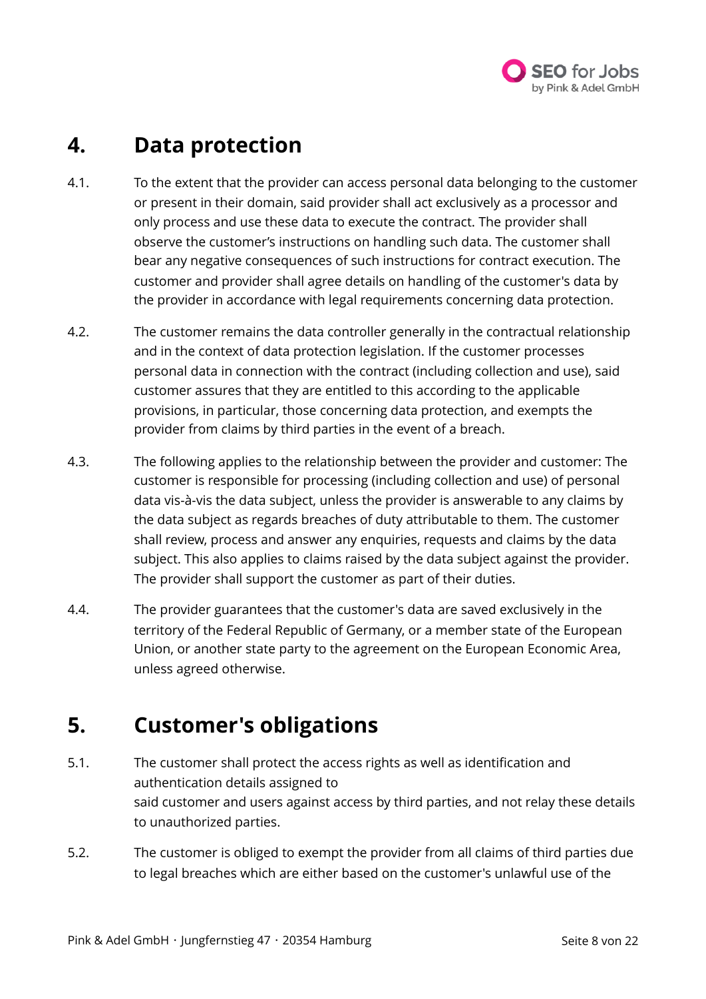

### **4. Data protection**

- 4.1. To the extent that the provider can access personal data belonging to the customer or present in their domain, said provider shall act exclusively as a processor and only process and use these data to execute the contract. The provider shall observe the customer's instructions on handling such data. The customer shall bear any negative consequences of such instructions for contract execution. The customer and provider shall agree details on handling of the customer's data by the provider in accordance with legal requirements concerning data protection.
- 4.2. The customer remains the data controller generally in the contractual relationship and in the context of data protection legislation. If the customer processes personal data in connection with the contract (including collection and use), said customer assures that they are entitled to this according to the applicable provisions, in particular, those concerning data protection, and exempts the provider from claims by third parties in the event of a breach.
- 4.3. The following applies to the relationship between the provider and customer: The customer is responsible for processing (including collection and use) of personal data vis-à-vis the data subject, unless the provider is answerable to any claims by the data subject as regards breaches of duty attributable to them. The customer shall review, process and answer any enquiries, requests and claims by the data subject. This also applies to claims raised by the data subject against the provider. The provider shall support the customer as part of their duties.
- 4.4. The provider guarantees that the customer's data are saved exclusively in the territory of the Federal Republic of Germany, or a member state of the European Union, or another state party to the agreement on the European Economic Area, unless agreed otherwise.

### **5. Customer's obligations**

- 5.1. The customer shall protect the access rights as well as identification and authentication details assigned to said customer and users against access by third parties, and not relay these details to unauthorized parties.
- 5.2. The customer is obliged to exempt the provider from all claims of third parties due to legal breaches which are either based on the customer's unlawful use of the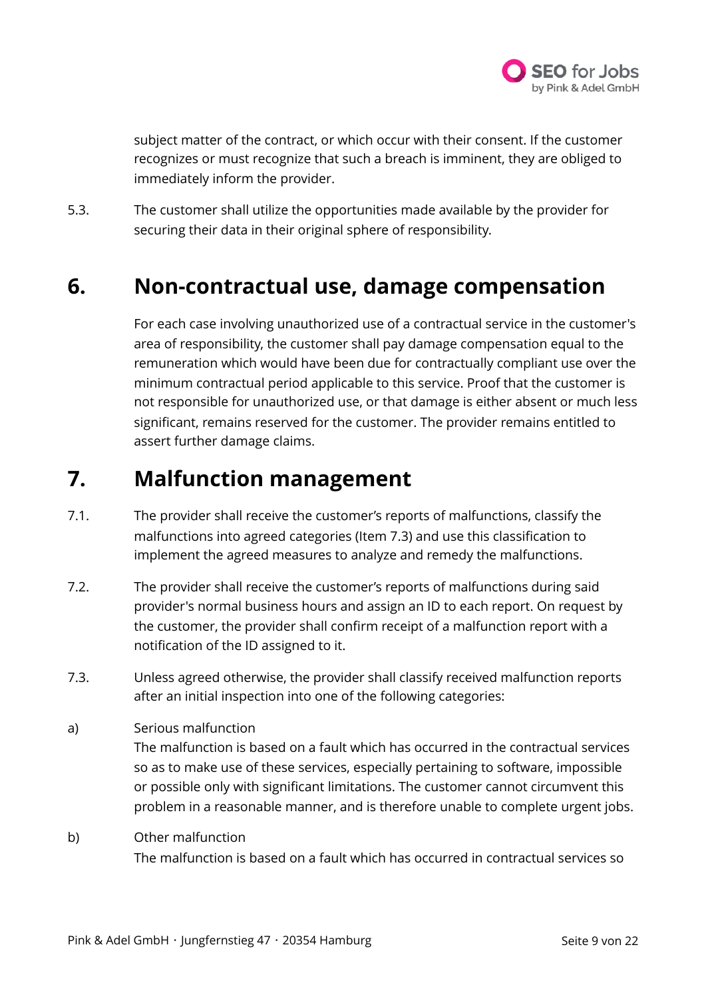

subject matter of the contract, or which occur with their consent. If the customer recognizes or must recognize that such a breach is imminent, they are obliged to immediately inform the provider.

5.3. The customer shall utilize the opportunities made available by the provider for securing their data in their original sphere of responsibility.

### **6. Non-contractual use, damage compensation**

For each case involving unauthorized use of a contractual service in the customer's area of responsibility, the customer shall pay damage compensation equal to the remuneration which would have been due for contractually compliant use over the minimum contractual period applicable to this service. Proof that the customer is not responsible for unauthorized use, or that damage is either absent or much less significant, remains reserved for the customer. The provider remains entitled to assert further damage claims.

### **7. Malfunction management**

- 7.1. The provider shall receive the customer's reports of malfunctions, classify the malfunctions into agreed categories (Item 7.3) and use this classification to implement the agreed measures to analyze and remedy the malfunctions.
- 7.2. The provider shall receive the customer's reports of malfunctions during said provider's normal business hours and assign an ID to each report. On request by the customer, the provider shall confirm receipt of a malfunction report with a notification of the ID assigned to it.
- 7.3. Unless agreed otherwise, the provider shall classify received malfunction reports after an initial inspection into one of the following categories:
- a) Serious malfunction The malfunction is based on a fault which has occurred in the contractual services so as to make use of these services, especially pertaining to software, impossible or possible only with significant limitations. The customer cannot circumvent this problem in a reasonable manner, and is therefore unable to complete urgent jobs.
- b) Other malfunction The malfunction is based on a fault which has occurred in contractual services so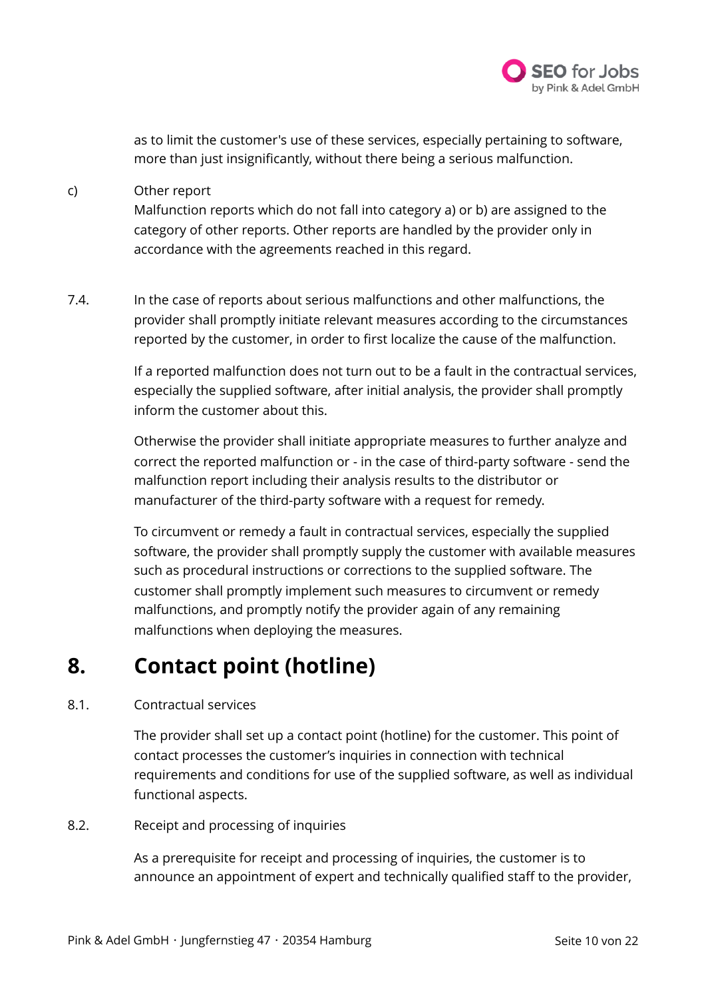

as to limit the customer's use of these services, especially pertaining to software, more than just insignificantly, without there being a serious malfunction.

#### c) Other report

Malfunction reports which do not fall into category a) or b) are assigned to the category of other reports. Other reports are handled by the provider only in accordance with the agreements reached in this regard.

7.4. In the case of reports about serious malfunctions and other malfunctions, the provider shall promptly initiate relevant measures according to the circumstances reported by the customer, in order to first localize the cause of the malfunction.

> If a reported malfunction does not turn out to be a fault in the contractual services, especially the supplied software, after initial analysis, the provider shall promptly inform the customer about this.

Otherwise the provider shall initiate appropriate measures to further analyze and correct the reported malfunction or - in the case of third-party software - send the malfunction report including their analysis results to the distributor or manufacturer of the third-party software with a request for remedy.

To circumvent or remedy a fault in contractual services, especially the supplied software, the provider shall promptly supply the customer with available measures such as procedural instructions or corrections to the supplied software. The customer shall promptly implement such measures to circumvent or remedy malfunctions, and promptly notify the provider again of any remaining malfunctions when deploying the measures.

### **8. Contact point (hotline)**

#### 8.1. Contractual services

The provider shall set up a contact point (hotline) for the customer. This point of contact processes the customer's inquiries in connection with technical requirements and conditions for use of the supplied software, as well as individual functional aspects.

#### 8.2. Receipt and processing of inquiries

As a prerequisite for receipt and processing of inquiries, the customer is to announce an appointment of expert and technically qualified staff to the provider,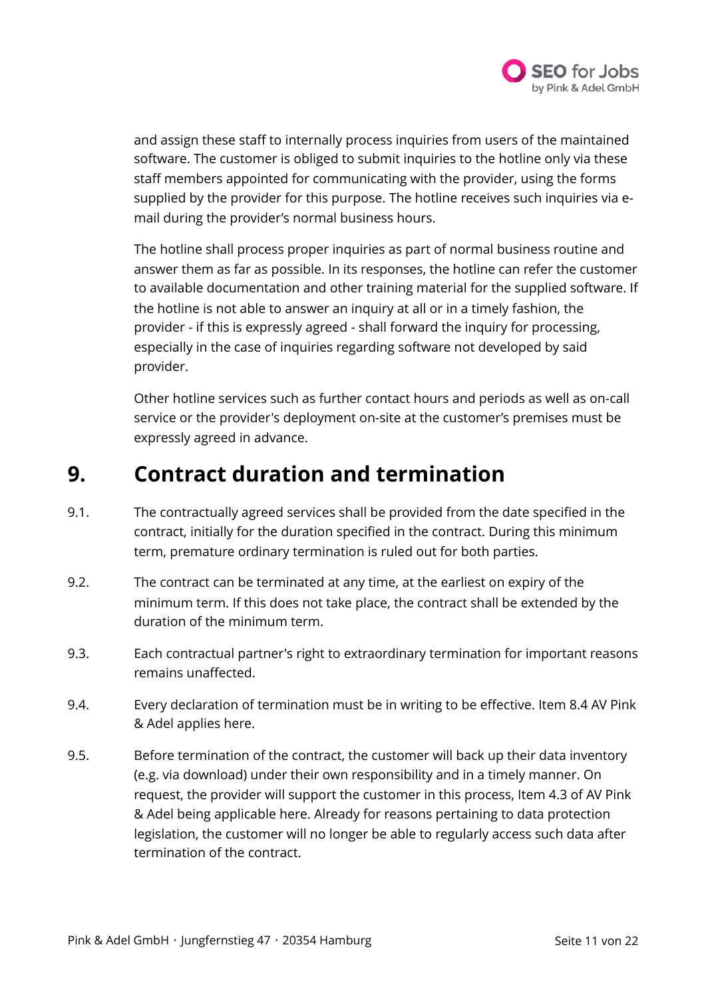

and assign these staff to internally process inquiries from users of the maintained software. The customer is obliged to submit inquiries to the hotline only via these staff members appointed for communicating with the provider, using the forms supplied by the provider for this purpose. The hotline receives such inquiries via email during the provider's normal business hours.

The hotline shall process proper inquiries as part of normal business routine and answer them as far as possible. In its responses, the hotline can refer the customer to available documentation and other training material for the supplied software. If the hotline is not able to answer an inquiry at all or in a timely fashion, the provider - if this is expressly agreed - shall forward the inquiry for processing, especially in the case of inquiries regarding software not developed by said provider.

Other hotline services such as further contact hours and periods as well as on-call service or the provider's deployment on-site at the customer's premises must be expressly agreed in advance.

### **9. Contract duration and termination**

- 9.1. The contractually agreed services shall be provided from the date specified in the contract, initially for the duration specified in the contract. During this minimum term, premature ordinary termination is ruled out for both parties.
- 9.2. The contract can be terminated at any time, at the earliest on expiry of the minimum term. If this does not take place, the contract shall be extended by the duration of the minimum term.
- 9.3. Each contractual partner's right to extraordinary termination for important reasons remains unaffected.
- 9.4. Every declaration of termination must be in writing to be effective. Item 8.4 AV Pink & Adel applies here.
- 9.5. Before termination of the contract, the customer will back up their data inventory (e.g. via download) under their own responsibility and in a timely manner. On request, the provider will support the customer in this process, Item 4.3 of AV Pink & Adel being applicable here. Already for reasons pertaining to data protection legislation, the customer will no longer be able to regularly access such data after termination of the contract.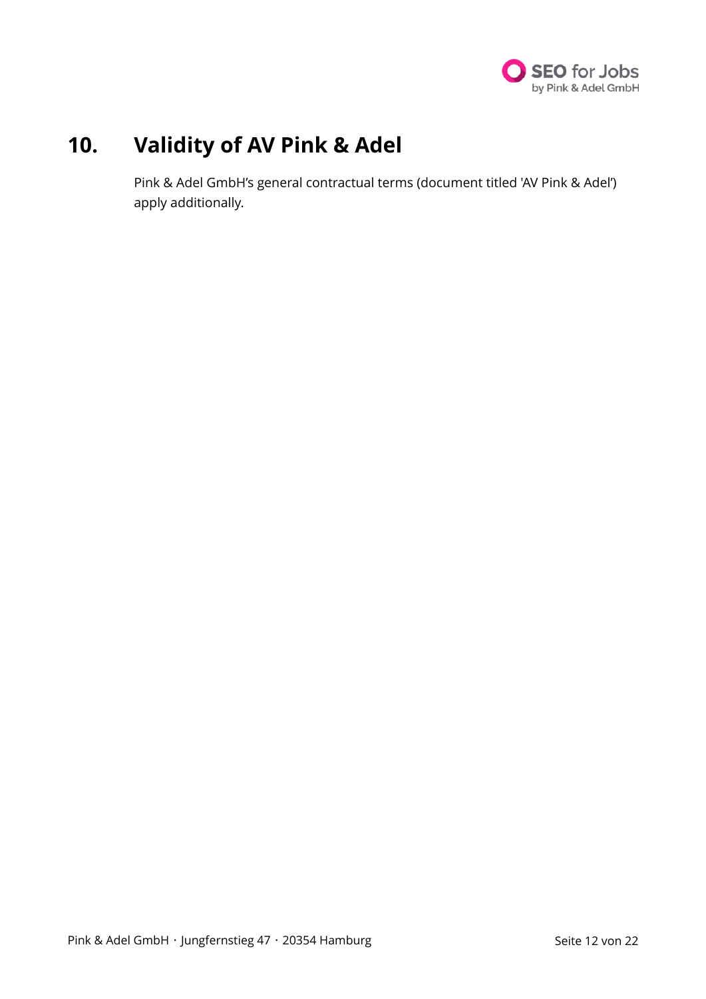

### **10. Validity of AV Pink & Adel**

Pink & Adel GmbH's general contractual terms (document titled 'AV Pink & Adel') apply additionally.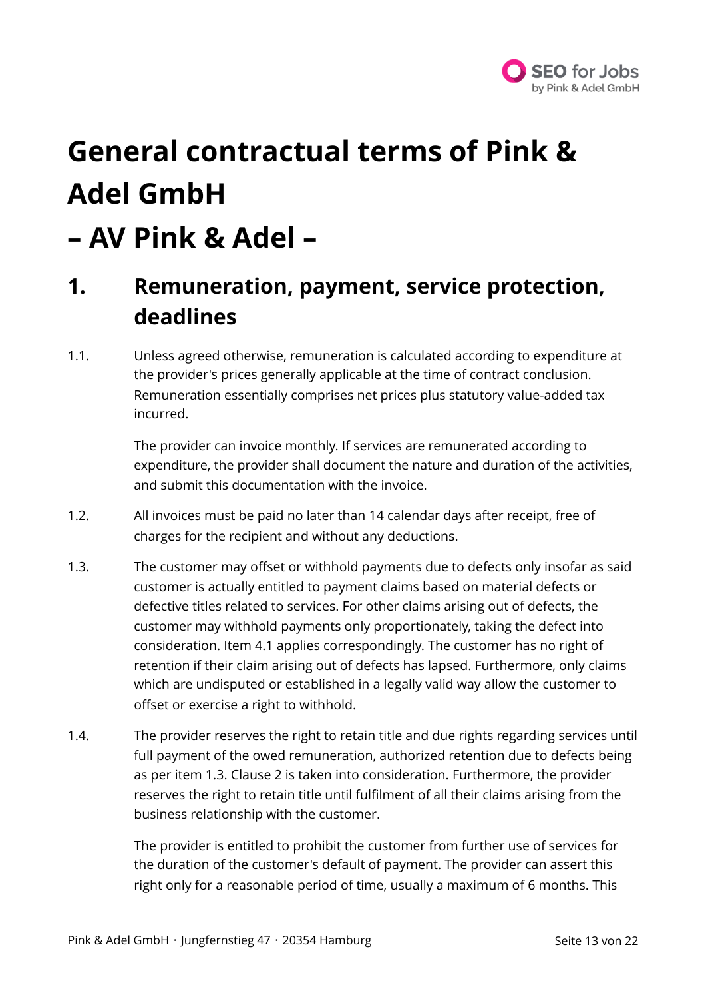

# **General contractual terms of Pink & Adel GmbH**

## **– AV Pink & Adel –**

### **1. Remuneration, payment, service protection, deadlines**

1.1. Unless agreed otherwise, remuneration is calculated according to expenditure at the provider's prices generally applicable at the time of contract conclusion. Remuneration essentially comprises net prices plus statutory value-added tax incurred.

> The provider can invoice monthly. If services are remunerated according to expenditure, the provider shall document the nature and duration of the activities, and submit this documentation with the invoice.

- 1.2. All invoices must be paid no later than 14 calendar days after receipt, free of charges for the recipient and without any deductions.
- 1.3. The customer may offset or withhold payments due to defects only insofar as said customer is actually entitled to payment claims based on material defects or defective titles related to services. For other claims arising out of defects, the customer may withhold payments only proportionately, taking the defect into consideration. Item 4.1 applies correspondingly. The customer has no right of retention if their claim arising out of defects has lapsed. Furthermore, only claims which are undisputed or established in a legally valid way allow the customer to offset or exercise a right to withhold.
- 1.4. The provider reserves the right to retain title and due rights regarding services until full payment of the owed remuneration, authorized retention due to defects being as per item 1.3. Clause 2 is taken into consideration. Furthermore, the provider reserves the right to retain title until fulfilment of all their claims arising from the business relationship with the customer.

The provider is entitled to prohibit the customer from further use of services for the duration of the customer's default of payment. The provider can assert this right only for a reasonable period of time, usually a maximum of 6 months. This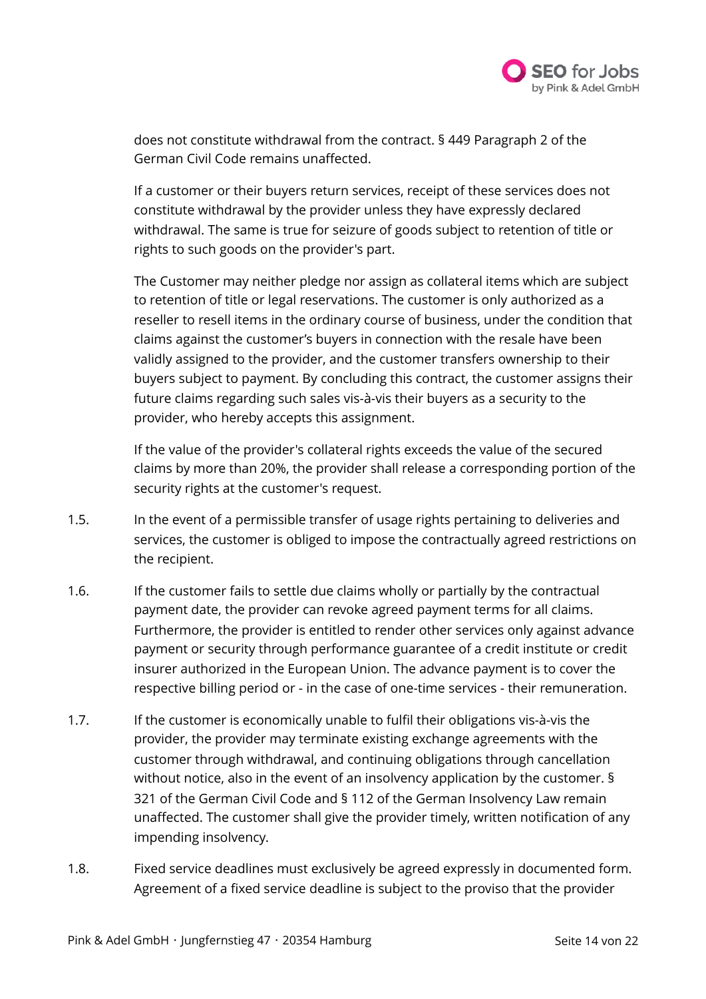

does not constitute withdrawal from the contract. § 449 Paragraph 2 of the German Civil Code remains unaffected.

If a customer or their buyers return services, receipt of these services does not constitute withdrawal by the provider unless they have expressly declared withdrawal. The same is true for seizure of goods subject to retention of title or rights to such goods on the provider's part.

The Customer may neither pledge nor assign as collateral items which are subject to retention of title or legal reservations. The customer is only authorized as a reseller to resell items in the ordinary course of business, under the condition that claims against the customer's buyers in connection with the resale have been validly assigned to the provider, and the customer transfers ownership to their buyers subject to payment. By concluding this contract, the customer assigns their future claims regarding such sales vis-à-vis their buyers as a security to the provider, who hereby accepts this assignment.

If the value of the provider's collateral rights exceeds the value of the secured claims by more than 20%, the provider shall release a corresponding portion of the security rights at the customer's request.

- 1.5. In the event of a permissible transfer of usage rights pertaining to deliveries and services, the customer is obliged to impose the contractually agreed restrictions on the recipient.
- 1.6. If the customer fails to settle due claims wholly or partially by the contractual payment date, the provider can revoke agreed payment terms for all claims. Furthermore, the provider is entitled to render other services only against advance payment or security through performance guarantee of a credit institute or credit insurer authorized in the European Union. The advance payment is to cover the respective billing period or - in the case of one-time services - their remuneration.
- 1.7. If the customer is economically unable to fulfil their obligations vis-à-vis the provider, the provider may terminate existing exchange agreements with the customer through withdrawal, and continuing obligations through cancellation without notice, also in the event of an insolvency application by the customer. § 321 of the German Civil Code and § 112 of the German Insolvency Law remain unaffected. The customer shall give the provider timely, written notification of any impending insolvency.
- 1.8. Fixed service deadlines must exclusively be agreed expressly in documented form. Agreement of a fixed service deadline is subject to the proviso that the provider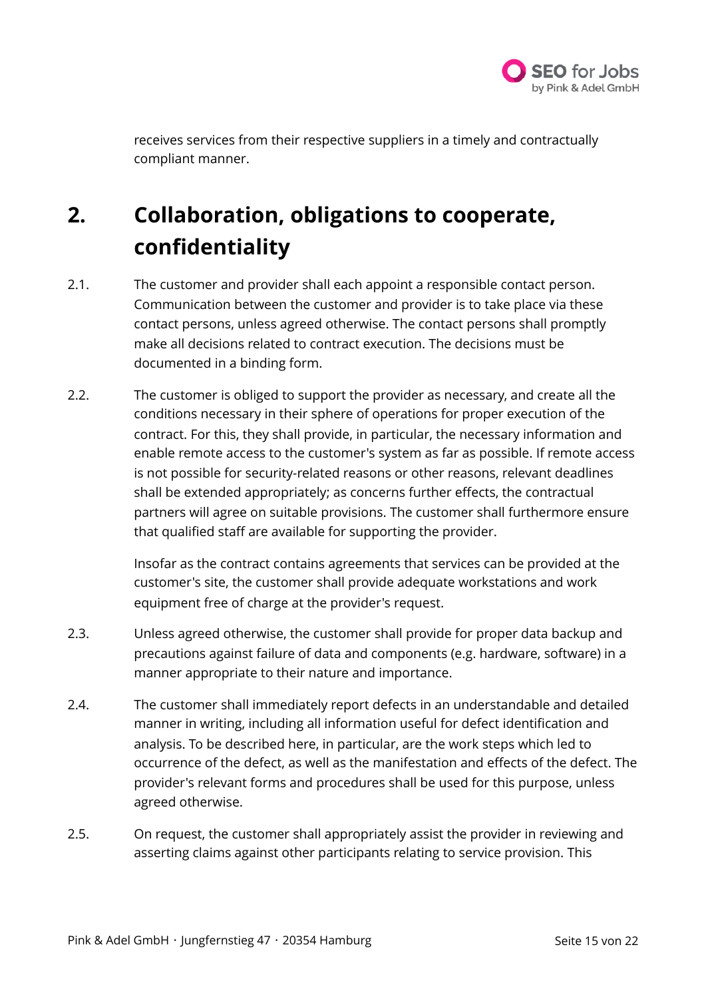

receives services from their respective suppliers in a timely and contractually compliant manner.

## **2. Collaboration, obligations to cooperate, confidentiality**

- 2.1. The customer and provider shall each appoint a responsible contact person. Communication between the customer and provider is to take place via these contact persons, unless agreed otherwise. The contact persons shall promptly make all decisions related to contract execution. The decisions must be documented in a binding form.
- 2.2. The customer is obliged to support the provider as necessary, and create all the conditions necessary in their sphere of operations for proper execution of the contract. For this, they shall provide, in particular, the necessary information and enable remote access to the customer's system as far as possible. If remote access is not possible for security-related reasons or other reasons, relevant deadlines shall be extended appropriately; as concerns further effects, the contractual partners will agree on suitable provisions. The customer shall furthermore ensure that qualified staff are available for supporting the provider.

Insofar as the contract contains agreements that services can be provided at the customer's site, the customer shall provide adequate workstations and work equipment free of charge at the provider's request.

- 2.3. Unless agreed otherwise, the customer shall provide for proper data backup and precautions against failure of data and components (e.g. hardware, software) in a manner appropriate to their nature and importance.
- 2.4. The customer shall immediately report defects in an understandable and detailed manner in writing, including all information useful for defect identification and analysis. To be described here, in particular, are the work steps which led to occurrence of the defect, as well as the manifestation and effects of the defect. The provider's relevant forms and procedures shall be used for this purpose, unless agreed otherwise.
- 2.5. On request, the customer shall appropriately assist the provider in reviewing and asserting claims against other participants relating to service provision. This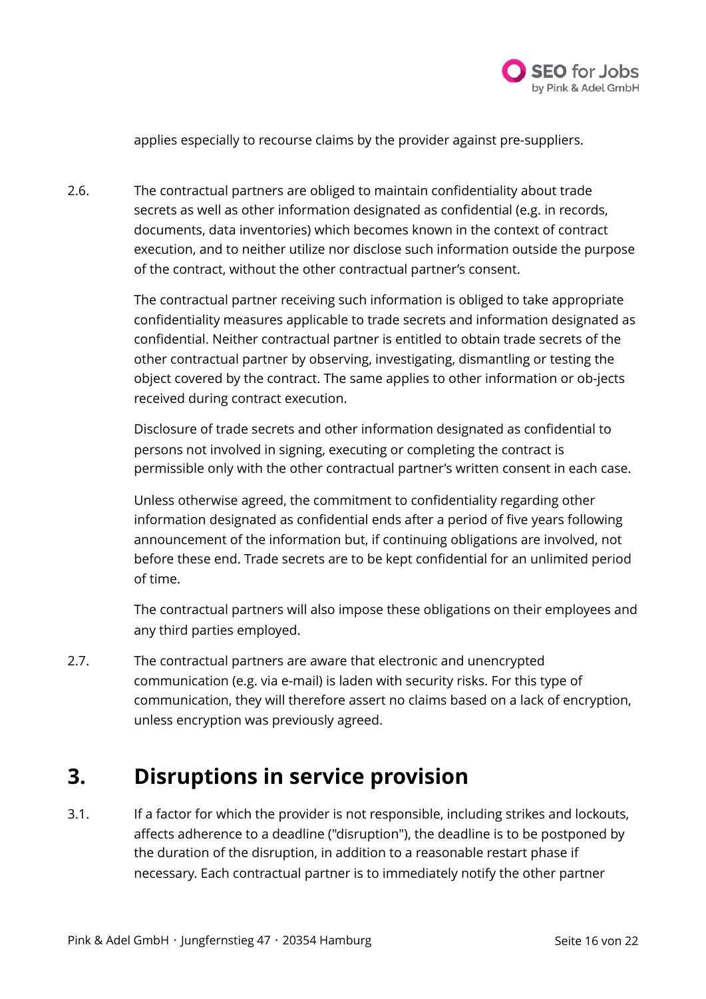

applies especially to recourse claims by the provider against pre-suppliers.

2.6. The contractual partners are obliged to maintain confidentiality about trade secrets as well as other information designated as confidential (e.g. in records, documents, data inventories) which becomes known in the context of contract execution, and to neither utilize nor disclose such information outside the purpose of the contract, without the other contractual partner's consent.

> The contractual partner receiving such information is obliged to take appropriate confidentiality measures applicable to trade secrets and information designated as confidential. Neither contractual partner is entitled to obtain trade secrets of the other contractual partner by observing, investigating, dismantling or testing the object covered by the contract. The same applies to other information or ob-jects received during contract execution.

Disclosure of trade secrets and other information designated as confidential to persons not involved in signing, executing or completing the contract is permissible only with the other contractual partner's written consent in each case.

Unless otherwise agreed, the commitment to confidentiality regarding other information designated as confidential ends after a period of five years following announcement of the information but, if continuing obligations are involved, not before these end. Trade secrets are to be kept confidential for an unlimited period of time.

The contractual partners will also impose these obligations on their employees and any third parties employed.

2.7. The contractual partners are aware that electronic and unencrypted communication (e.g. via e-mail) is laden with security risks. For this type of communication, they will therefore assert no claims based on a lack of encryption, unless encryption was previously agreed.

### **3. Disruptions in service provision**

3.1. If a factor for which the provider is not responsible, including strikes and lockouts, affects adherence to a deadline ("disruption"), the deadline is to be postponed by the duration of the disruption, in addition to a reasonable restart phase if necessary. Each contractual partner is to immediately notify the other partner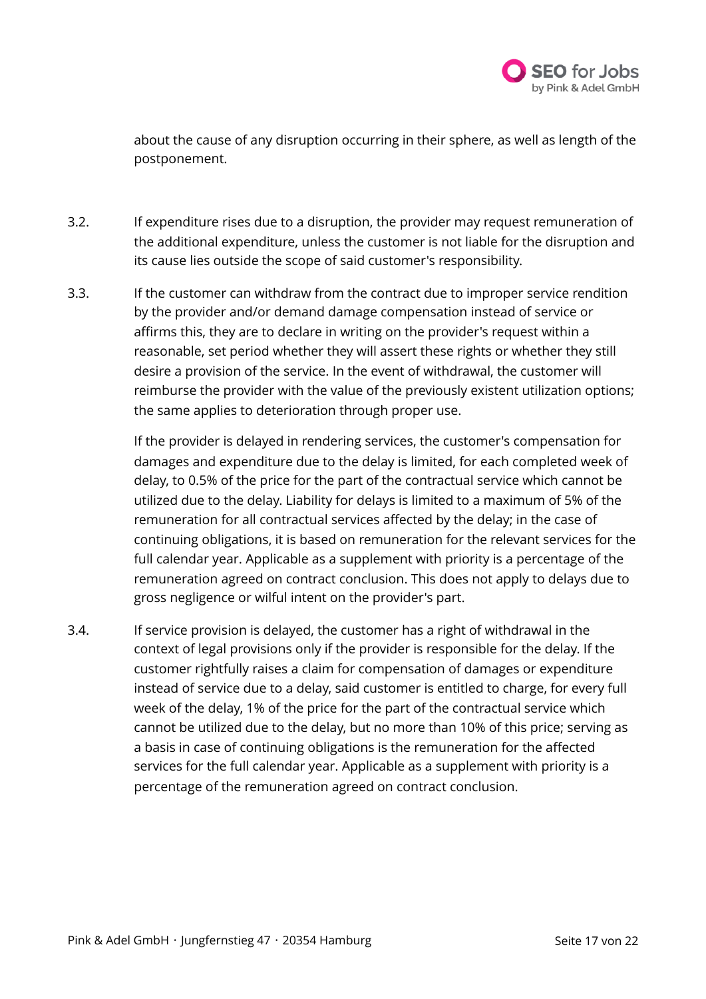

about the cause of any disruption occurring in their sphere, as well as length of the postponement.

- 3.2. If expenditure rises due to a disruption, the provider may request remuneration of the additional expenditure, unless the customer is not liable for the disruption and its cause lies outside the scope of said customer's responsibility.
- 3.3. If the customer can withdraw from the contract due to improper service rendition by the provider and/or demand damage compensation instead of service or affirms this, they are to declare in writing on the provider's request within a reasonable, set period whether they will assert these rights or whether they still desire a provision of the service. In the event of withdrawal, the customer will reimburse the provider with the value of the previously existent utilization options; the same applies to deterioration through proper use.

If the provider is delayed in rendering services, the customer's compensation for damages and expenditure due to the delay is limited, for each completed week of delay, to 0.5% of the price for the part of the contractual service which cannot be utilized due to the delay. Liability for delays is limited to a maximum of 5% of the remuneration for all contractual services affected by the delay; in the case of continuing obligations, it is based on remuneration for the relevant services for the full calendar year. Applicable as a supplement with priority is a percentage of the remuneration agreed on contract conclusion. This does not apply to delays due to gross negligence or wilful intent on the provider's part.

3.4. If service provision is delayed, the customer has a right of withdrawal in the context of legal provisions only if the provider is responsible for the delay. If the customer rightfully raises a claim for compensation of damages or expenditure instead of service due to a delay, said customer is entitled to charge, for every full week of the delay, 1% of the price for the part of the contractual service which cannot be utilized due to the delay, but no more than 10% of this price; serving as a basis in case of continuing obligations is the remuneration for the affected services for the full calendar year. Applicable as a supplement with priority is a percentage of the remuneration agreed on contract conclusion.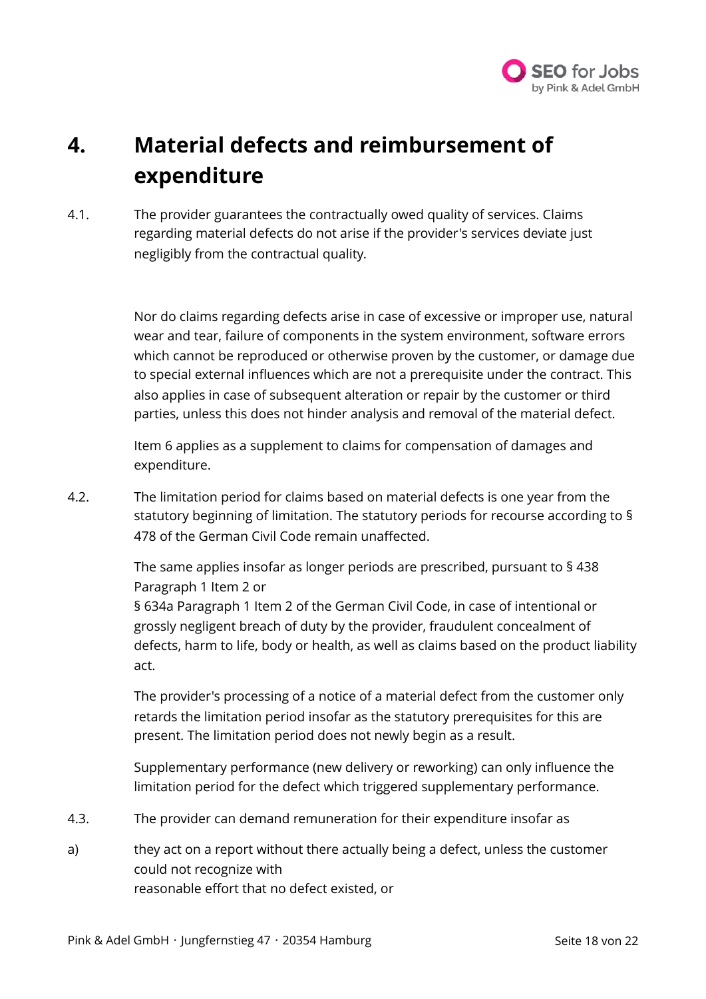

### **4. Material defects and reimbursement of expenditure**

4.1. The provider guarantees the contractually owed quality of services. Claims regarding material defects do not arise if the provider's services deviate just negligibly from the contractual quality.

> Nor do claims regarding defects arise in case of excessive or improper use, natural wear and tear, failure of components in the system environment, software errors which cannot be reproduced or otherwise proven by the customer, or damage due to special external influences which are not a prerequisite under the contract. This also applies in case of subsequent alteration or repair by the customer or third parties, unless this does not hinder analysis and removal of the material defect.

Item 6 applies as a supplement to claims for compensation of damages and expenditure.

4.2. The limitation period for claims based on material defects is one year from the statutory beginning of limitation. The statutory periods for recourse according to § 478 of the German Civil Code remain unaffected.

> The same applies insofar as longer periods are prescribed, pursuant to § 438 Paragraph 1 Item 2 or § 634a Paragraph 1 Item 2 of the German Civil Code, in case of intentional or grossly negligent breach of duty by the provider, fraudulent concealment of defects, harm to life, body or health, as well as claims based on the product liability act.

The provider's processing of a notice of a material defect from the customer only retards the limitation period insofar as the statutory prerequisites for this are present. The limitation period does not newly begin as a result.

Supplementary performance (new delivery or reworking) can only influence the limitation period for the defect which triggered supplementary performance.

- 4.3. The provider can demand remuneration for their expenditure insofar as
- a) they act on a report without there actually being a defect, unless the customer could not recognize with reasonable effort that no defect existed, or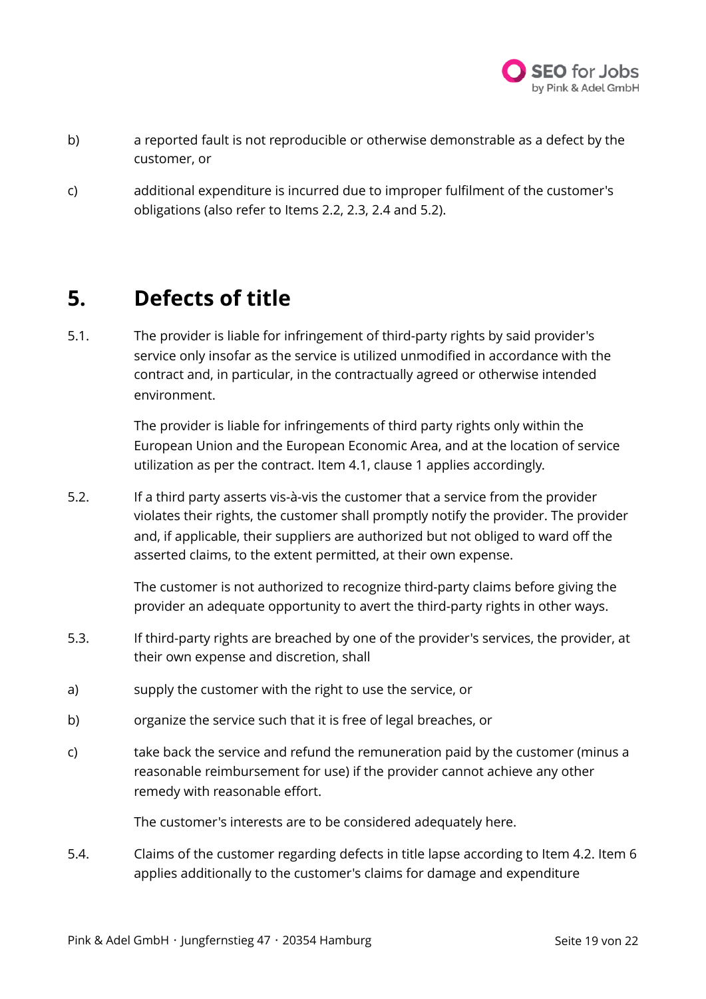

- b) a reported fault is not reproducible or otherwise demonstrable as a defect by the customer, or
- c) additional expenditure is incurred due to improper fulfilment of the customer's obligations (also refer to Items 2.2, 2.3, 2.4 and 5.2).

### **5. Defects of title**

5.1. The provider is liable for infringement of third-party rights by said provider's service only insofar as the service is utilized unmodified in accordance with the contract and, in particular, in the contractually agreed or otherwise intended environment.

> The provider is liable for infringements of third party rights only within the European Union and the European Economic Area, and at the location of service utilization as per the contract. Item 4.1, clause 1 applies accordingly.

5.2. If a third party asserts vis-à-vis the customer that a service from the provider violates their rights, the customer shall promptly notify the provider. The provider and, if applicable, their suppliers are authorized but not obliged to ward off the asserted claims, to the extent permitted, at their own expense.

> The customer is not authorized to recognize third-party claims before giving the provider an adequate opportunity to avert the third-party rights in other ways.

- 5.3. If third-party rights are breached by one of the provider's services, the provider, at their own expense and discretion, shall
- a) supply the customer with the right to use the service, or
- b) organize the service such that it is free of legal breaches, or
- c) take back the service and refund the remuneration paid by the customer (minus a reasonable reimbursement for use) if the provider cannot achieve any other remedy with reasonable effort.

The customer's interests are to be considered adequately here.

5.4. Claims of the customer regarding defects in title lapse according to Item 4.2. Item 6 applies additionally to the customer's claims for damage and expenditure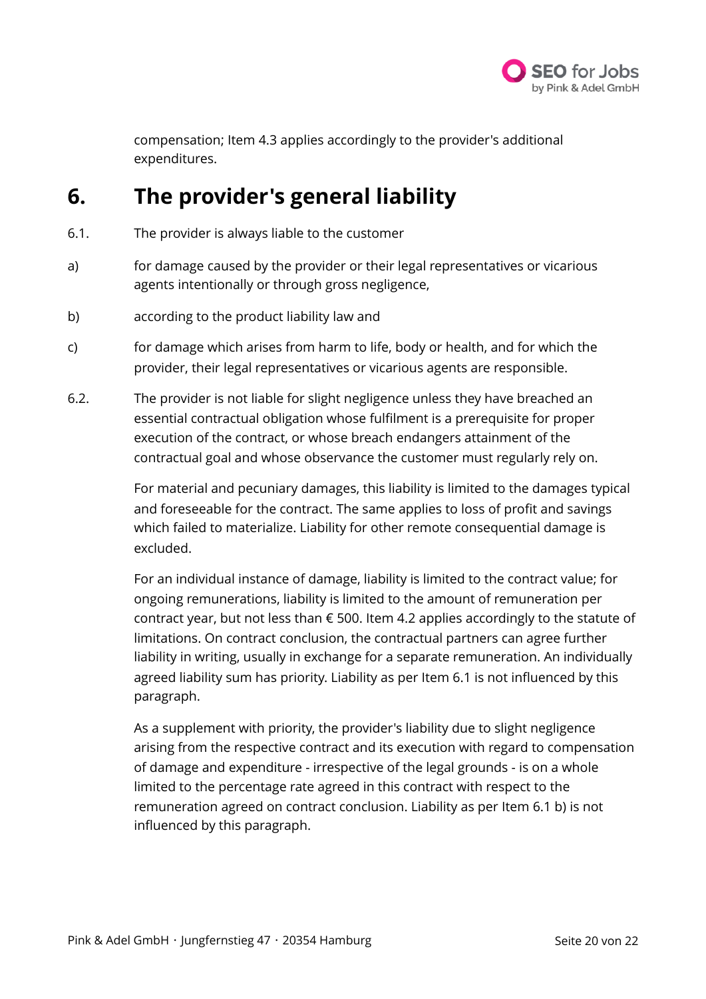

compensation; Item 4.3 applies accordingly to the provider's additional expenditures.

### **6. The provider's general liability**

- 6.1. The provider is always liable to the customer
- a) for damage caused by the provider or their legal representatives or vicarious agents intentionally or through gross negligence,
- b) according to the product liability law and
- c) for damage which arises from harm to life, body or health, and for which the provider, their legal representatives or vicarious agents are responsible.
- 6.2. The provider is not liable for slight negligence unless they have breached an essential contractual obligation whose fulfilment is a prerequisite for proper execution of the contract, or whose breach endangers attainment of the contractual goal and whose observance the customer must regularly rely on.

For material and pecuniary damages, this liability is limited to the damages typical and foreseeable for the contract. The same applies to loss of profit and savings which failed to materialize. Liability for other remote consequential damage is excluded.

For an individual instance of damage, liability is limited to the contract value; for ongoing remunerations, liability is limited to the amount of remuneration per contract year, but not less than  $\epsilon$  500. Item 4.2 applies accordingly to the statute of limitations. On contract conclusion, the contractual partners can agree further liability in writing, usually in exchange for a separate remuneration. An individually agreed liability sum has priority. Liability as per Item 6.1 is not influenced by this paragraph.

As a supplement with priority, the provider's liability due to slight negligence arising from the respective contract and its execution with regard to compensation of damage and expenditure - irrespective of the legal grounds - is on a whole limited to the percentage rate agreed in this contract with respect to the remuneration agreed on contract conclusion. Liability as per Item 6.1 b) is not influenced by this paragraph.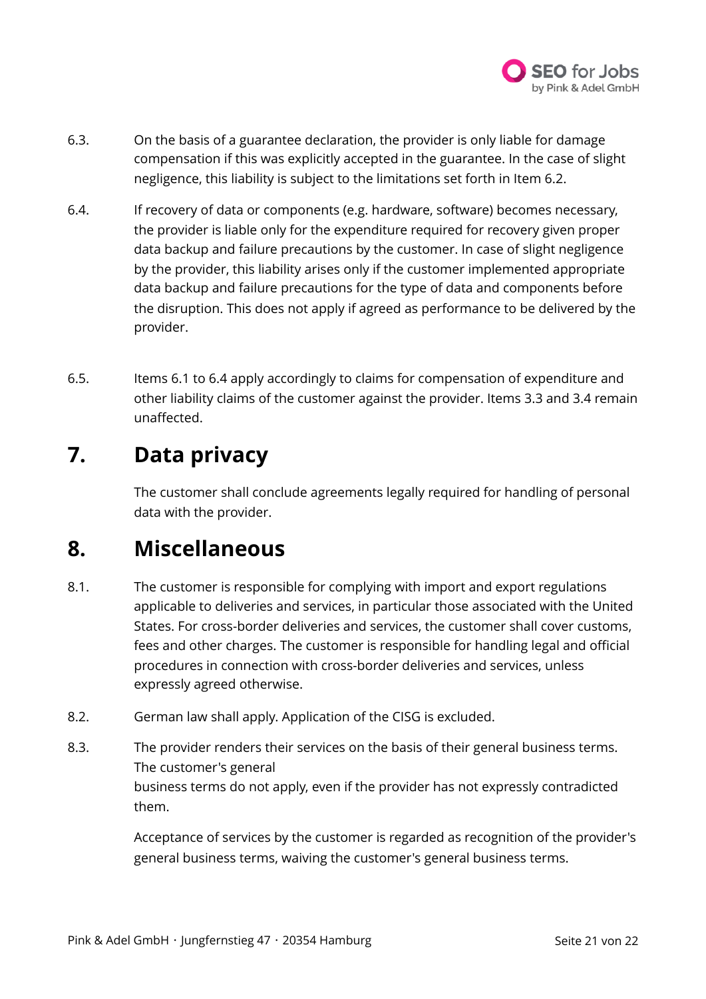

- 6.3. On the basis of a guarantee declaration, the provider is only liable for damage compensation if this was explicitly accepted in the guarantee. In the case of slight negligence, this liability is subject to the limitations set forth in Item 6.2.
- 6.4. If recovery of data or components (e.g. hardware, software) becomes necessary, the provider is liable only for the expenditure required for recovery given proper data backup and failure precautions by the customer. In case of slight negligence by the provider, this liability arises only if the customer implemented appropriate data backup and failure precautions for the type of data and components before the disruption. This does not apply if agreed as performance to be delivered by the provider.
- 6.5. Items 6.1 to 6.4 apply accordingly to claims for compensation of expenditure and other liability claims of the customer against the provider. Items 3.3 and 3.4 remain unaffected.

### **7. Data privacy**

The customer shall conclude agreements legally required for handling of personal data with the provider.

### **8. Miscellaneous**

- 8.1. The customer is responsible for complying with import and export regulations applicable to deliveries and services, in particular those associated with the United States. For cross-border deliveries and services, the customer shall cover customs, fees and other charges. The customer is responsible for handling legal and official procedures in connection with cross-border deliveries and services, unless expressly agreed otherwise.
- 8.2. German law shall apply. Application of the CISG is excluded.
- 8.3. The provider renders their services on the basis of their general business terms. The customer's general business terms do not apply, even if the provider has not expressly contradicted them.

Acceptance of services by the customer is regarded as recognition of the provider's general business terms, waiving the customer's general business terms.